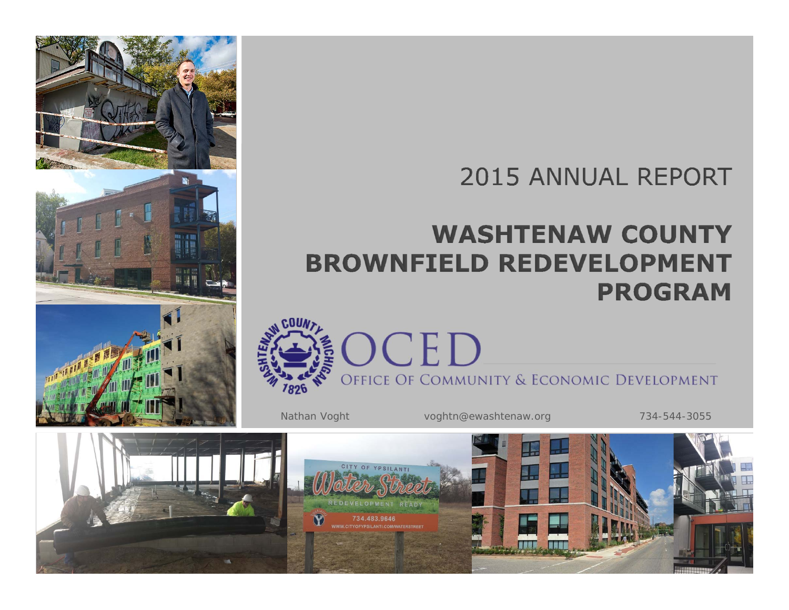# **2015 ANNUAL REPORT**

# **WASHTENAW COUNTY BROWNFIELD REDEVELOPMENT PROGRAM**



Nathan Voght voghtn@ewashtenaw.org 734-544-3055

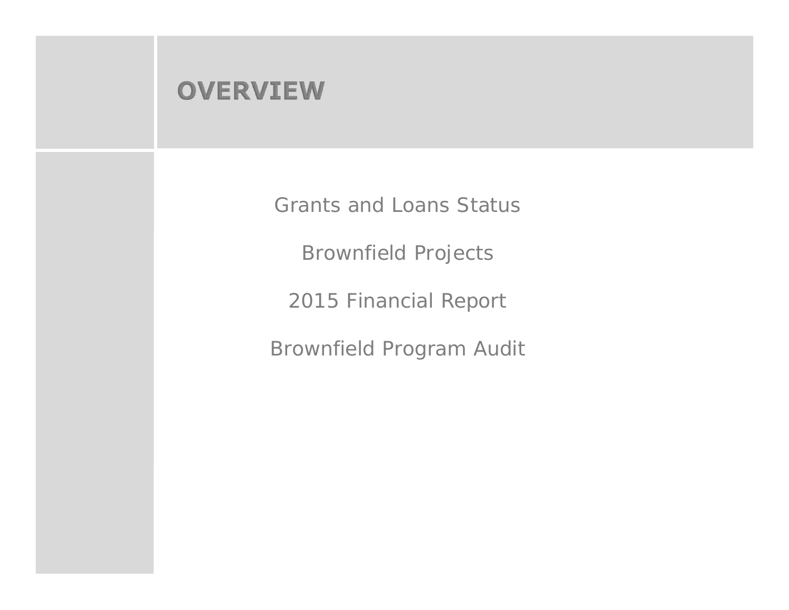### **OVERVIEW**

Grants and Loans Status

Brownfield Projects

2015 Financial Report

Brownfield Program Audit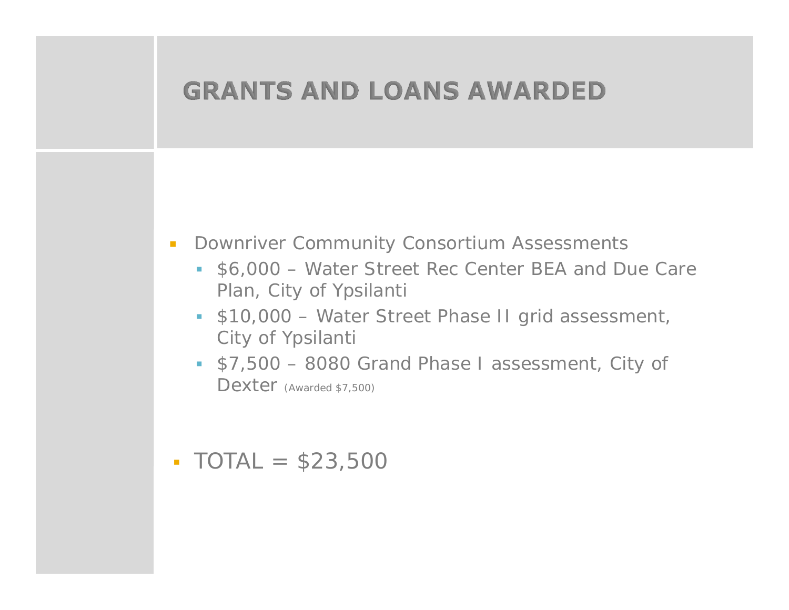

- $\mathcal{L}$  Downriver Community Consortium Assessments
	- \$6,000 Water Street Rec Center BEA and Due Care Plan, City of Ypsilanti
	- \$10,000 Water Street Phase II grid assessment, City of Ypsilanti
	- \$7,500 8080 Grand Phase I assessment, City of Dexter (Awarded \$7,500)
- $\text{-} \text{TOTAL} = $23,500$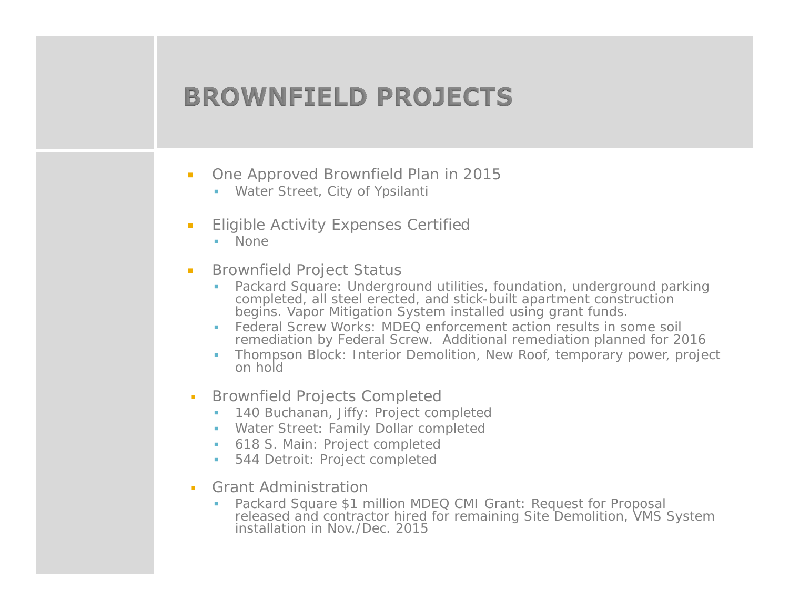# **BROWNFIELD PROJECTS**

- $\mathcal{L}_{\mathcal{A}}$  One Approved Brownfield Plan in 2015
	- Water Street, City of Ypsilanti
- $\mathcal{L}_{\mathcal{A}}$  Eligible Activity Expenses Certified
	- None
- $\mathcal{L}_{\mathcal{A}}$  Brownfield Project Status
	- Packard Square: Underground utilities, foundation, underground parking completed, all steel erected, and stick-built apartment construction begins. Vapor Mitigation System installed using grant funds.
	- ш Federal Screw Works: MDEQ enforcement action results in some soil remediation by Federal Screw. Additional remediation planned for 2016
	- Thompson Block: Interior Demolition, New Roof, temporary power, project on hold
- л Brownfield Projects Completed
	- Г 140 Buchanan, Jiffy: Project completed
	- Water Street: Family Dollar completed
	- 618 S. Main: Project completed
	- **Contract** 544 Detroit: Project completed
- Grant Administration
	- Packard Square \$1 million MDEQ CMI Grant: Request for Proposal released and contractor hired for remaining Site Demolition, VMS System installation in Nov./Dec. 2015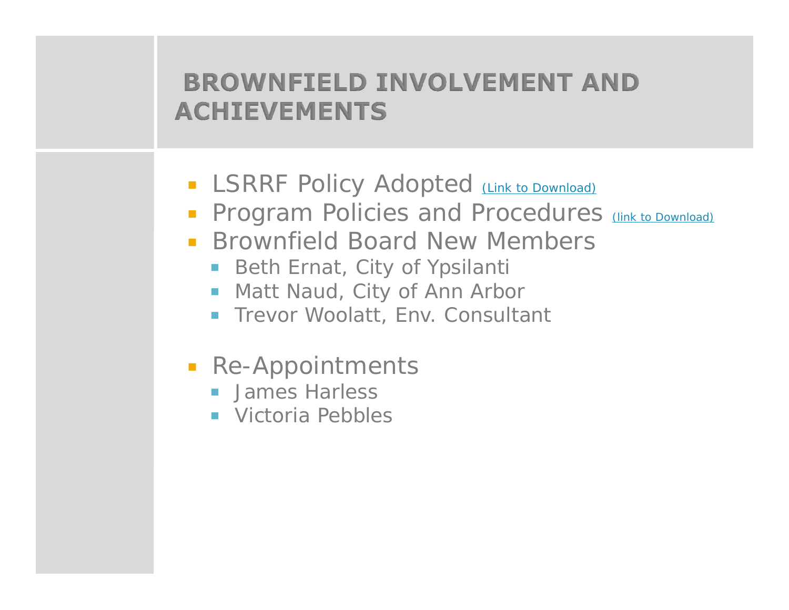# **BROWNFIELD INVOLVEMENT AND ACHIEVEMENTS**

- **BELASRRF Policy Adopted** (Link to Download)
- **Program Policies and Procedures** (link to Download)
- **Brownfield Board New Members** 
	- Beth Ernat, City of Ypsilanti
	- $\mathcal{L}_{\mathcal{A}}$ Matt Naud, City of Ann Arbor
	- **Trevor Woolatt, Env. Consultant**
- **Re-Appointments** 
	- **James Harless**
	- **Number** Victoria Pebbles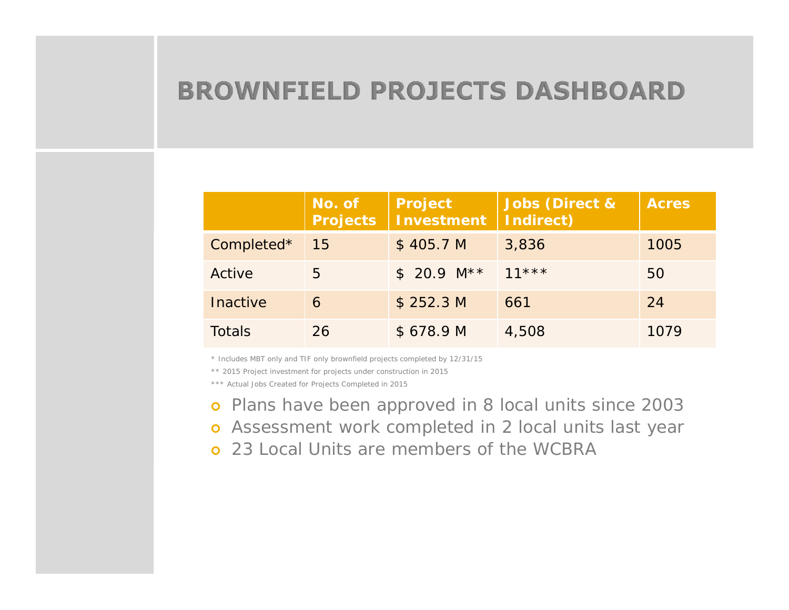### **BROWNFIELD PROJECTS DASHBOARD**

|                 | No. of<br><b>Projects</b> | <b>Project</b><br><b>Investment</b> | <b>Jobs (Direct &amp;</b><br>Indirect) | <b>Acres</b> |
|-----------------|---------------------------|-------------------------------------|----------------------------------------|--------------|
| Completed*      | 15                        | \$405.7 <sub>M</sub>                | 3,836                                  | 1005         |
| Active          | 5                         | $$20.9$ M** 11***                   |                                        | 50           |
| <b>Inactive</b> | 6                         | \$252.3 M                           | 661                                    | 24           |
| <b>Totals</b>   | 26                        | \$678.9 M                           | 4,508                                  | 1079         |

\* Includes MBT only and TIF only brownfield projects completed by 12/31/15

\*\* 2015 Project investment for projects under construction in 2015

\*\*\* Actual Jobs Created for Projects Completed in 2015

- **o** Plans have been approved in 8 local units since 2003
- **o** Assessment work completed in 2 local units last year
- **o** 23 Local Units are members of the WCBRA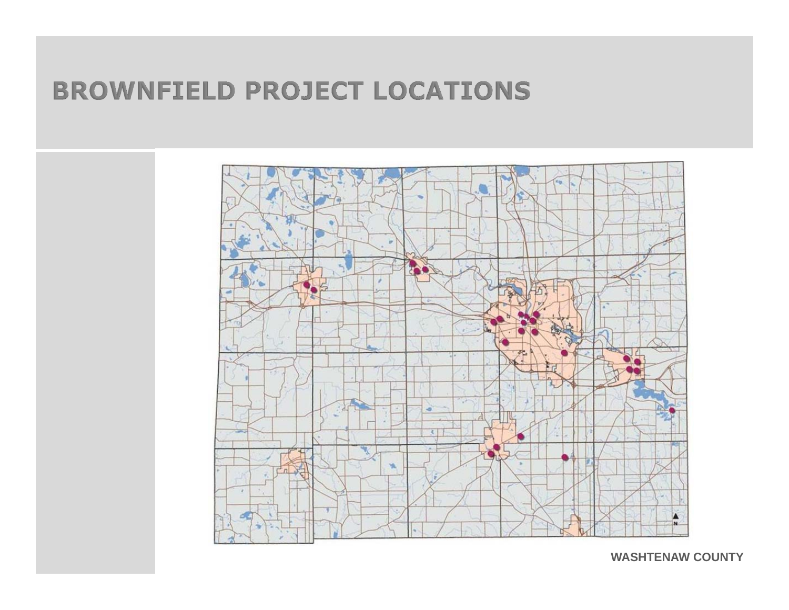# **BROWNFIELD PROJECT LOCATIONS**



**WASHTENAW COUNTY**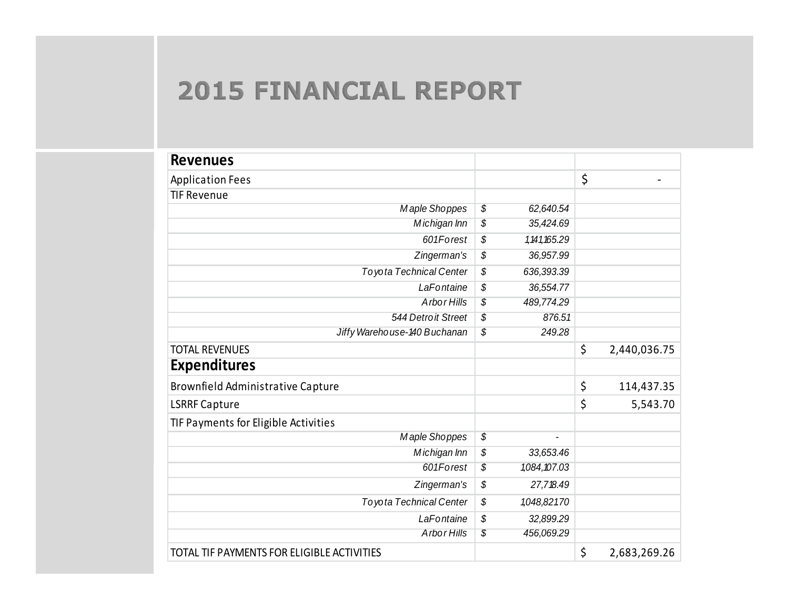# **2015 FINANCIAL REPORT**

| <b>Revenues</b>                            |                      |                    |
|--------------------------------------------|----------------------|--------------------|
| <b>Application Fees</b>                    |                      | \$                 |
| <b>TIF Revenue</b>                         |                      |                    |
| Maple Shoppes                              | \$<br>62,640.54      |                    |
| Michigan Inn                               | \$<br>35,424.69      |                    |
| 601Forest                                  | \$<br>1, 141, 165.29 |                    |
| Zingerman's                                | \$<br>36,957.99      |                    |
| <b>Toyota Technical Center</b>             | \$<br>636,393.39     |                    |
| LaFontaine                                 | \$<br>36,554.77      |                    |
| Arbor Hills                                | \$<br>489,774.29     |                    |
| 544 Detroit Street                         | \$<br>876.51         |                    |
| Jiffy Warehouse-140 Buchanan               | \$<br>249.28         |                    |
| <b>TOTAL REVENUES</b>                      |                      | \$<br>2,440,036.75 |
| <b>Expenditures</b>                        |                      |                    |
| Brownfield Administrative Capture          |                      | \$<br>114,437.35   |
| <b>LSRRF Capture</b>                       |                      | \$<br>5,543.70     |
| TIF Payments for Eligible Activities       |                      |                    |
| Maple Shoppes                              | \$                   |                    |
| Michigan Inn                               | \$<br>33,653.46      |                    |
| 601Forest                                  | \$<br>1,084,107.03   |                    |
| Zingerman's                                | \$<br>27,718.49      |                    |
| <b>Toyota Technical Center</b>             | \$<br>1,048,821.70   |                    |
| LaFontaine                                 | \$<br>32,899.29      |                    |
| Arbor Hills                                | \$<br>456,069.29     |                    |
| TOTAL TIF PAYMENTS FOR ELIGIBLE ACTIVITIES |                      | \$<br>2,683,269.26 |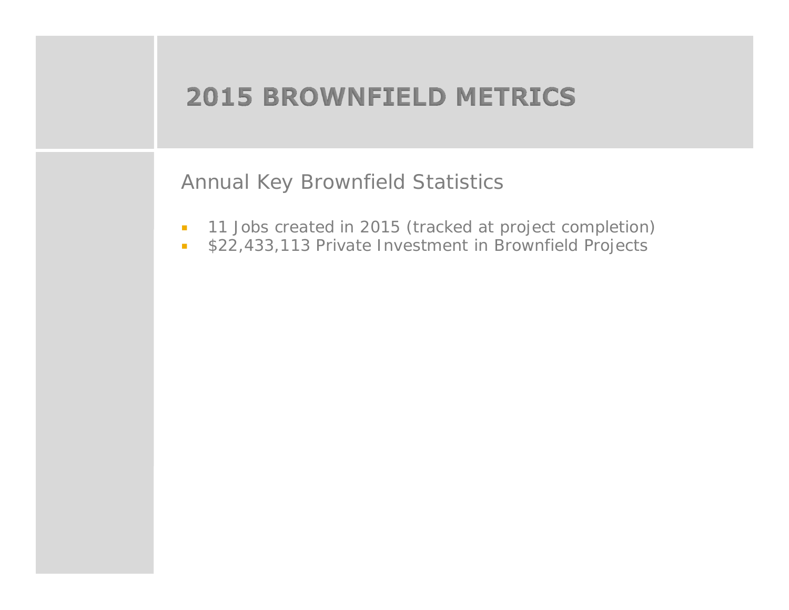# **2015 BROWNFIELD METRICS**

Annual Key Brownfield Statistics

- $\overline{\mathbb{R}}$ 11 Jobs created in 2015 (tracked at project completion)
- $\overline{\phantom{a}}$ \$22,433,113 Private Investment in Brownfield Projects